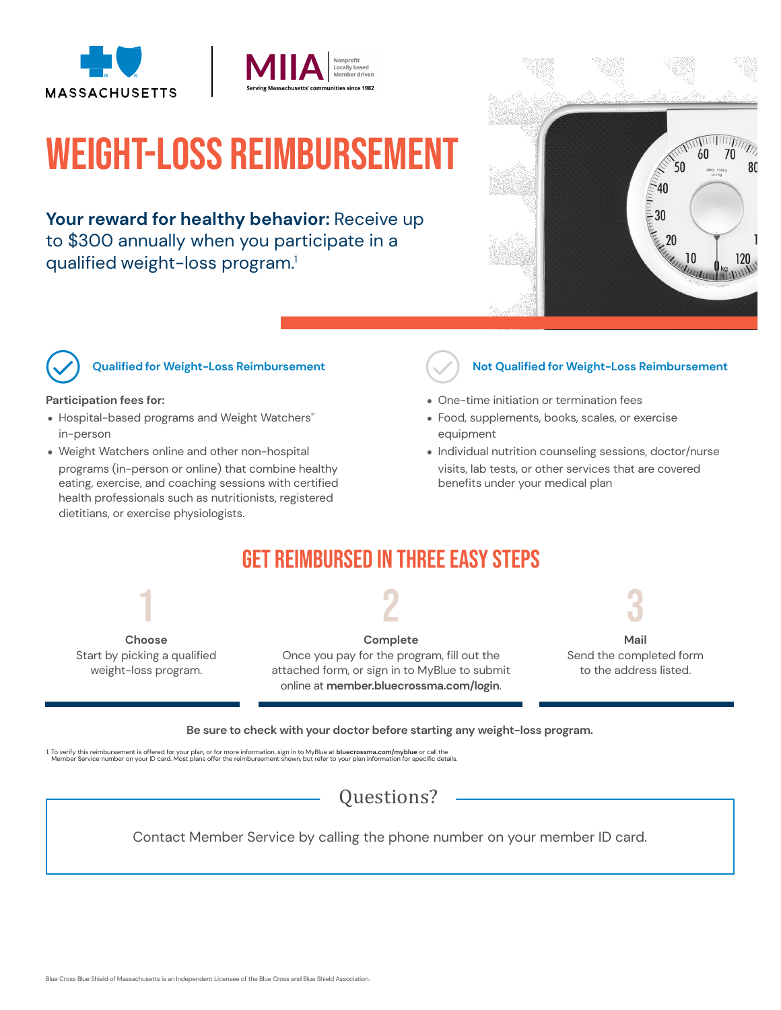



# Weight-Loss Reimbursement

Your reward for healthy behavior: Receive up to \$300 annually when you participate in a qualified weight-loss program. 1





#### ! **Qualified for Weight-Loss Reimbursement**

#### **Participation fees for:**

- Hospital-based programs and Weight Watchers® in-person
- Weight Watchers online and other non-hospital
- programs (in-person or online) that combine healthy eating, exercise, and coaching sessions with certified health professionals such as nutritionists, registered dietitians, or exercise physiologists.



#### ! **Not Qualified for Weight-Loss Reimbursement**

- One-time initiation or termination fees
- Food, supplements, books, scales, or exercise equipment
- Individual nutrition counseling sessions, doctor/nurse visits, lab tests, or other services that are covered benefits under your medical plan

## Get Reimbursed in Three Easy Steps



2

**Complete** Once you pay for the program, fill out the attached form, or sign in to MyBlue to submit online at **member.bluecrossma.com/login**.



Send the completed form to the address listed.

#### **Be sure to check with your doctor before starting any weight-loss program.**

1. To verify this reimbursement is offered for your plan, or for more information, sign in to MyBlue a**t bluecrossma.com/myblue** or call the<br>Member Service number on your ID card. Most plans offer the reimbursement shown,

### Questions?

Contact Member Service by calling the phone number on your member ID card.